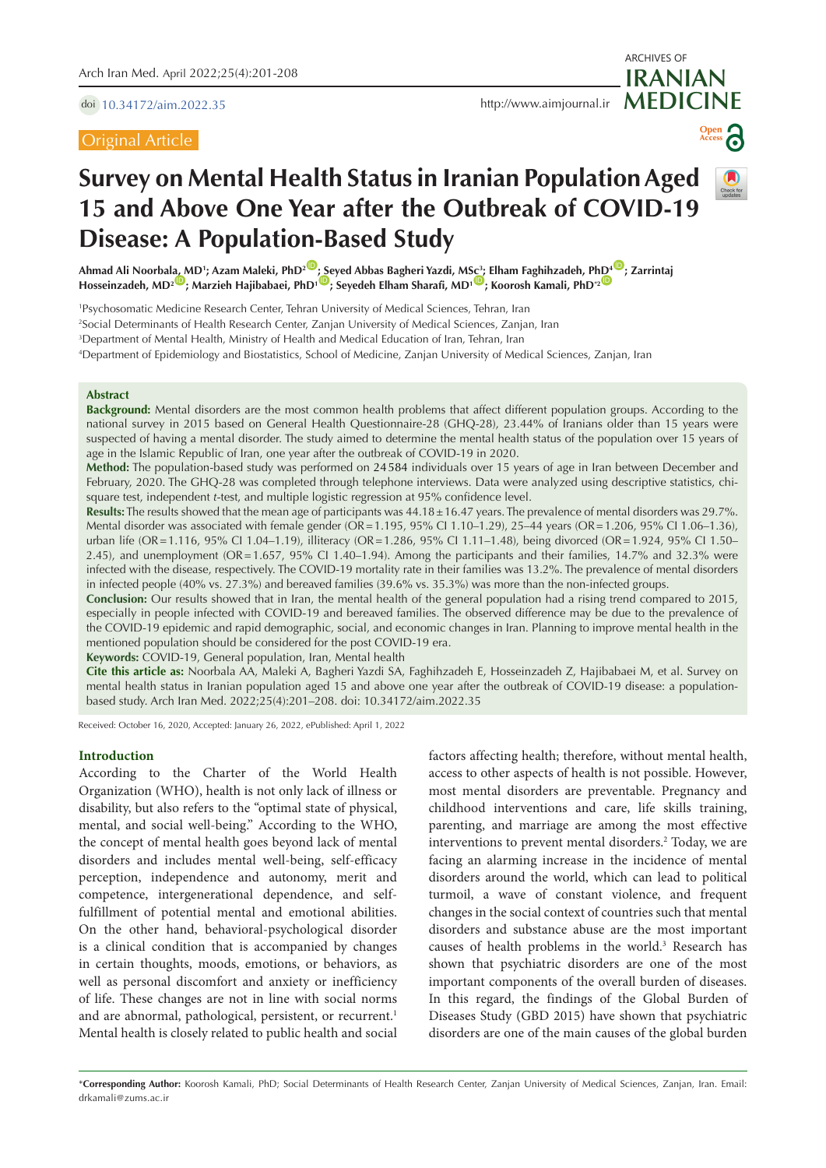doi [10.34172/aim.2022.35](https://doi.org/10.34172/aim.2022.35)

Original Article



ARCHIVES OF



# **Survey on Mental Health Status in Iranian Population Aged 15 and Above One Year after the Outbreak of COVID-19 Disease: A Population-Based Study**

**Ahmad Ali Noorba[la, M](https://orcid.org/0000-0003-0588-9091)D1 ; Azam Maleki, PhD2** [ID](https://orcid.org/0000-0001-7888-1985) **[; Se](https://orcid.org/0000-0001-7223-4648)yed Abbas Bagheri Yazdi, M[Sc3](https://orcid.org/0000-0003-2113-0595) ; Elham Faghihzadeh, P[hD4](https://orcid.org/0000-0002-2543-4177)** [ID](https://orcid.org/0000-0002-9128-2685) **; Zarrintaj Hosseinzadeh, MD2** ID **; Marzieh Hajibabaei, PhD1** ID **; Seyedeh Elham Sharafi, MD1** ID **; Koorosh Kamali, PhD\*2** ID

1 Psychosomatic Medicine Research Center, Tehran University of Medical Sciences, Tehran, Iran 2 Social Determinants of Health Research Center, Zanjan University of Medical Sciences, Zanjan, Iran 3 Department of Mental Health, Ministry of Health and Medical Education of Iran, Tehran, Iran

4 Department of Epidemiology and Biostatistics, School of Medicine, Zanjan University of Medical Sciences, Zanjan, Iran

## **Abstract**

**Background:** Mental disorders are the most common health problems that affect different population groups. According to the national survey in 2015 based on General Health Questionnaire-28 (GHQ-28), 23.44% of Iranians older than 15 years were suspected of having a mental disorder. The study aimed to determine the mental health status of the population over 15 years of age in the Islamic Republic of Iran, one year after the outbreak of COVID-19 in 2020.

**Method:** The population-based study was performed on 24584 individuals over 15 years of age in Iran between December and February, 2020. The GHQ-28 was completed through telephone interviews. Data were analyzed using descriptive statistics, chisquare test, independent *t*-test, and multiple logistic regression at 95% confidence level.

**Results:** The results showed that the mean age of participants was 44.18±16.47 years. The prevalence of mental disorders was 29.7%. Mental disorder was associated with female gender (OR=1.195, 95% CI 1.10–1.29), 25–44 years (OR=1.206, 95% CI 1.06–1.36), urban life (OR=1.116, 95% CI 1.04–1.19), illiteracy (OR=1.286, 95% CI 1.11–1.48), being divorced (OR=1.924, 95% CI 1.50– 2.45), and unemployment (OR=1.657, 95% CI 1.40–1.94). Among the participants and their families, 14.7% and 32.3% were infected with the disease, respectively. The COVID-19 mortality rate in their families was 13.2%. The prevalence of mental disorders in infected people (40% vs. 27.3%) and bereaved families (39.6% vs. 35.3%) was more than the non-infected groups.

**Conclusion:** Our results showed that in Iran, the mental health of the general population had a rising trend compared to 2015, especially in people infected with COVID-19 and bereaved families. The observed difference may be due to the prevalence of the COVID-19 epidemic and rapid demographic, social, and economic changes in Iran. Planning to improve mental health in the mentioned population should be considered for the post COVID-19 era.

**Keywords:** COVID-19, General population, Iran, Mental health

**Cite this article as:** Noorbala AA, Maleki A, Bagheri Yazdi SA, Faghihzadeh E, Hosseinzadeh Z, Hajibabaei M, et al. Survey on mental health status in Iranian population aged 15 and above one year after the outbreak of COVID-19 disease: a populationbased study. Arch Iran Med. 2022;25(4):201–208. doi: 10.34172/aim.2022.35

Received: October 16, 2020, Accepted: January 26, 2022, ePublished: April 1, 2022

# **Introduction**

According to the Charter of the World Health Organization (WHO), health is not only lack of illness or disability, but also refers to the "optimal state of physical, mental, and social well-being." According to the WHO, the concept of mental health goes beyond lack of mental disorders and includes mental well-being, self-efficacy perception, independence and autonomy, merit and competence, intergenerational dependence, and selffulfillment of potential mental and emotional abilities. On the other hand, behavioral-psychological disorder is a clinical condition that is accompanied by changes in certain thoughts, moods, emotions, or behaviors, as well as personal discomfort and anxiety or inefficiency of life. These changes are not in line with social norms and are abnormal, pathological, persistent, or recurrent.<sup>1</sup> Mental health is closely related to public health and social factors affecting health; therefore, without mental health, access to other aspects of health is not possible. However, most mental disorders are preventable. Pregnancy and childhood interventions and care, life skills training, parenting, and marriage are among the most effective interventions to prevent mental disorders.<sup>2</sup> Today, we are facing an alarming increase in the incidence of mental disorders around the world, which can lead to political turmoil, a wave of constant violence, and frequent changes in the social context of countries such that mental disorders and substance abuse are the most important causes of health problems in the world.<sup>3</sup> Research has shown that psychiatric disorders are one of the most important components of the overall burden of diseases. In this regard, the findings of the Global Burden of Diseases Study (GBD 2015) have shown that psychiatric disorders are one of the main causes of the global burden

<sup>\*</sup>**Corresponding Author:** Koorosh Kamali, PhD; Social Determinants of Health Research Center, Zanjan University of Medical Sciences, Zanjan, Iran. Email: drkamali@zums.ac.ir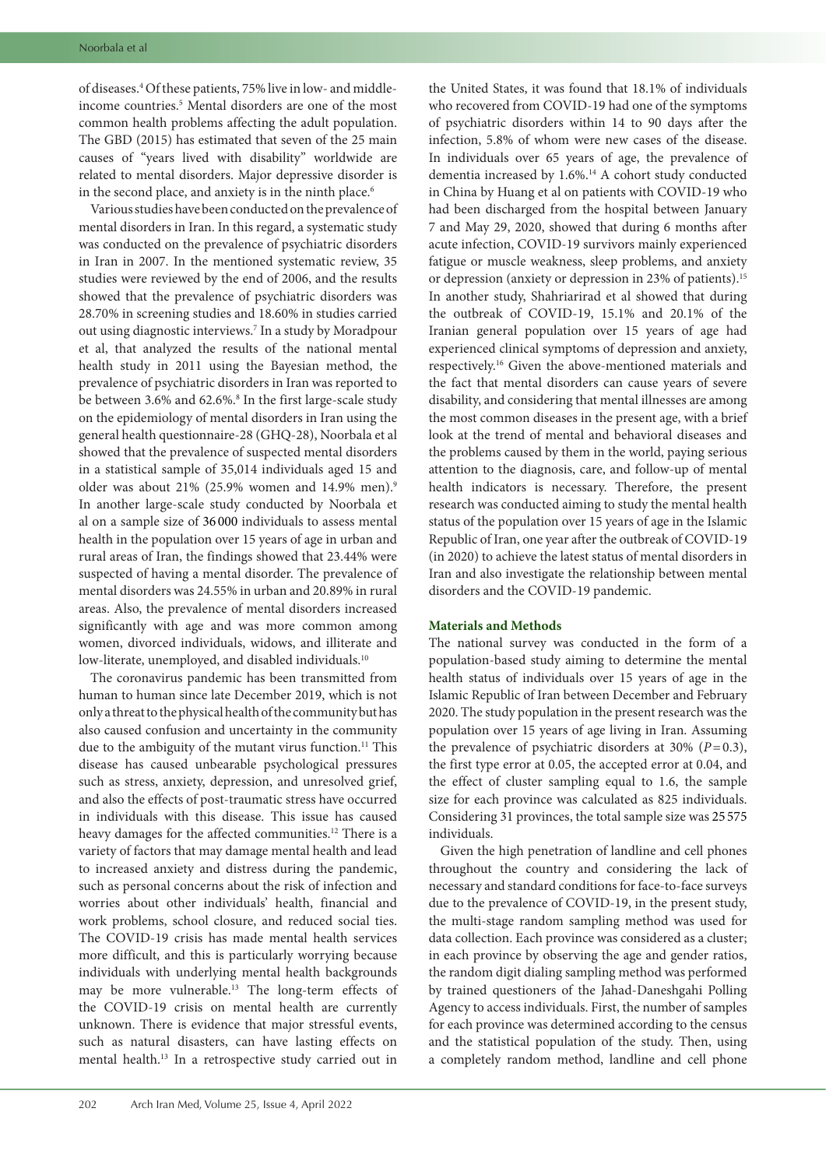of diseases.4 Of these patients, 75% live in low- and middleincome countries.<sup>5</sup> Mental disorders are one of the most common health problems affecting the adult population. The GBD (2015) has estimated that seven of the 25 main causes of "years lived with disability" worldwide are related to mental disorders. Major depressive disorder is in the second place, and anxiety is in the ninth place.<sup>6</sup>

Various studies have been conducted on the prevalence of mental disorders in Iran. In this regard, a systematic study was conducted on the prevalence of psychiatric disorders in Iran in 2007. In the mentioned systematic review, 35 studies were reviewed by the end of 2006, and the results showed that the prevalence of psychiatric disorders was 28.70% in screening studies and 18.60% in studies carried out using diagnostic interviews.7 In a study by Moradpour et al, that analyzed the results of the national mental health study in 2011 using the Bayesian method, the prevalence of psychiatric disorders in Iran was reported to be between 3.6% and 62.6%.<sup>8</sup> In the first large-scale study on the epidemiology of mental disorders in Iran using the general health questionnaire-28 (GHQ-28), Noorbala et al showed that the prevalence of suspected mental disorders in a statistical sample of 35,014 individuals aged 15 and older was about 21% (25.9% women and 14.9% men).<sup>9</sup> In another large-scale study conducted by Noorbala et al on a sample size of 36 000 individuals to assess mental health in the population over 15 years of age in urban and rural areas of Iran, the findings showed that 23.44% were suspected of having a mental disorder. The prevalence of mental disorders was 24.55% in urban and 20.89% in rural areas. Also, the prevalence of mental disorders increased significantly with age and was more common among women, divorced individuals, widows, and illiterate and low-literate, unemployed, and disabled individuals.<sup>10</sup>

The coronavirus pandemic has been transmitted from human to human since late December 2019, which is not only a threat to the physical health of the community but has also caused confusion and uncertainty in the community due to the ambiguity of the mutant virus function.<sup>11</sup> This disease has caused unbearable psychological pressures such as stress, anxiety, depression, and unresolved grief, and also the effects of post-traumatic stress have occurred in individuals with this disease. This issue has caused heavy damages for the affected communities.12 There is a variety of factors that may damage mental health and lead to increased anxiety and distress during the pandemic, such as personal concerns about the risk of infection and worries about other individuals' health, financial and work problems, school closure, and reduced social ties. The COVID-19 crisis has made mental health services more difficult, and this is particularly worrying because individuals with underlying mental health backgrounds may be more vulnerable.13 The long-term effects of the COVID-19 crisis on mental health are currently unknown. There is evidence that major stressful events, such as natural disasters, can have lasting effects on mental health.13 In a retrospective study carried out in the United States, it was found that 18.1% of individuals who recovered from COVID-19 had one of the symptoms of psychiatric disorders within 14 to 90 days after the infection, 5.8% of whom were new cases of the disease. In individuals over 65 years of age, the prevalence of dementia increased by 1.6%.<sup>14</sup> A cohort study conducted in China by Huang et al on patients with COVID-19 who had been discharged from the hospital between January 7 and May 29, 2020, showed that during 6 months after acute infection, COVID-19 survivors mainly experienced fatigue or muscle weakness, sleep problems, and anxiety or depression (anxiety or depression in 23% of patients).15 In another study, Shahriarirad et al showed that during the outbreak of COVID-19, 15.1% and 20.1% of the Iranian general population over 15 years of age had experienced clinical symptoms of depression and anxiety, respectively.16 Given the above-mentioned materials and the fact that mental disorders can cause years of severe disability, and considering that mental illnesses are among the most common diseases in the present age, with a brief look at the trend of mental and behavioral diseases and the problems caused by them in the world, paying serious attention to the diagnosis, care, and follow-up of mental health indicators is necessary. Therefore, the present research was conducted aiming to study the mental health status of the population over 15 years of age in the Islamic Republic of Iran, one year after the outbreak of COVID-19 (in 2020) to achieve the latest status of mental disorders in Iran and also investigate the relationship between mental disorders and the COVID-19 pandemic.

# **Materials and Methods**

The national survey was conducted in the form of a population-based study aiming to determine the mental health status of individuals over 15 years of age in the Islamic Republic of Iran between December and February 2020. The study population in the present research was the population over 15 years of age living in Iran. Assuming the prevalence of psychiatric disorders at  $30\%$  ( $P=0.3$ ), the first type error at 0.05, the accepted error at 0.04, and the effect of cluster sampling equal to 1.6, the sample size for each province was calculated as 825 individuals. Considering 31 provinces, the total sample size was 25 575 individuals.

Given the high penetration of landline and cell phones throughout the country and considering the lack of necessary and standard conditions for face-to-face surveys due to the prevalence of COVID-19, in the present study, the multi-stage random sampling method was used for data collection. Each province was considered as a cluster; in each province by observing the age and gender ratios, the random digit dialing sampling method was performed by trained questioners of the Jahad-Daneshgahi Polling Agency to access individuals. First, the number of samples for each province was determined according to the census and the statistical population of the study. Then, using a completely random method, landline and cell phone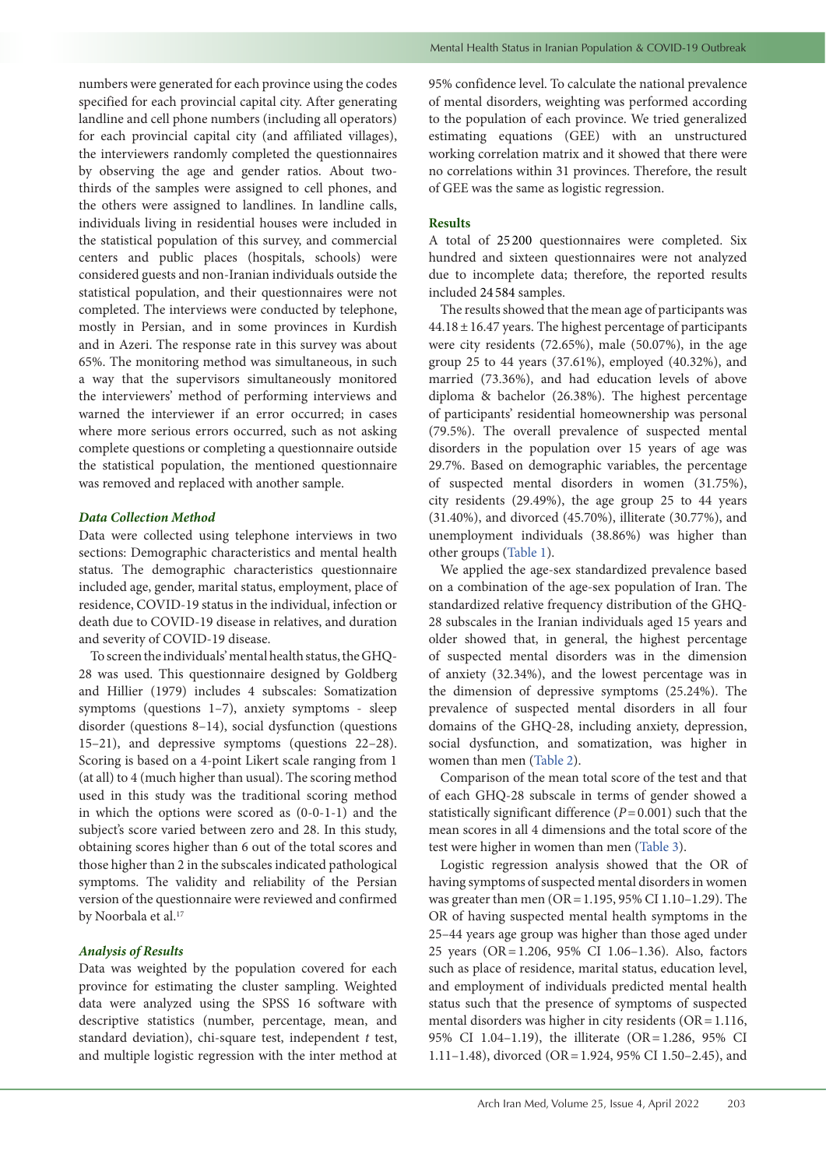numbers were generated for each province using the codes specified for each provincial capital city. After generating landline and cell phone numbers (including all operators) for each provincial capital city (and affiliated villages), the interviewers randomly completed the questionnaires by observing the age and gender ratios. About twothirds of the samples were assigned to cell phones, and the others were assigned to landlines. In landline calls, individuals living in residential houses were included in the statistical population of this survey, and commercial centers and public places (hospitals, schools) were considered guests and non-Iranian individuals outside the statistical population, and their questionnaires were not completed. The interviews were conducted by telephone, mostly in Persian, and in some provinces in Kurdish and in Azeri. The response rate in this survey was about 65%. The monitoring method was simultaneous, in such a way that the supervisors simultaneously monitored the interviewers' method of performing interviews and warned the interviewer if an error occurred; in cases where more serious errors occurred, such as not asking complete questions or completing a questionnaire outside the statistical population, the mentioned questionnaire was removed and replaced with another sample.

# *Data Collection Method*

Data were collected using telephone interviews in two sections: Demographic characteristics and mental health status. The demographic characteristics questionnaire included age, gender, marital status, employment, place of residence, COVID-19 status in the individual, infection or death due to COVID-19 disease in relatives, and duration and severity of COVID-19 disease.

To screen the individuals' mental health status, the GHQ-28 was used. This questionnaire designed by Goldberg and Hillier (1979) includes 4 subscales: Somatization symptoms (questions 1–7), anxiety symptoms - sleep disorder (questions 8–14), social dysfunction (questions 15–21), and depressive symptoms (questions 22–28). Scoring is based on a 4-point Likert scale ranging from 1 (at all) to 4 (much higher than usual). The scoring method used in this study was the traditional scoring method in which the options were scored as (0-0-1-1) and the subject's score varied between zero and 28. In this study, obtaining scores higher than 6 out of the total scores and those higher than 2 in the subscales indicated pathological symptoms. The validity and reliability of the Persian version of the questionnaire were reviewed and confirmed by Noorbala et al.<sup>17</sup>

# *Analysis of Results*

Data was weighted by the population covered for each province for estimating the cluster sampling. Weighted data were analyzed using the SPSS 16 software with descriptive statistics (number, percentage, mean, and standard deviation), chi-square test, independent *t* test, and multiple logistic regression with the inter method at 95% confidence level. To calculate the national prevalence of mental disorders, weighting was performed according to the population of each province. We tried generalized estimating equations (GEE) with an unstructured working correlation matrix and it showed that there were no correlations within 31 provinces. Therefore, the result of GEE was the same as logistic regression.

# **Results**

A total of 25 200 questionnaires were completed. Six hundred and sixteen questionnaires were not analyzed due to incomplete data; therefore, the reported results included 24 584 samples.

The results showed that the mean age of participants was  $44.18 \pm 16.47$  years. The highest percentage of participants were city residents (72.65%), male (50.07%), in the age group 25 to 44 years (37.61%), employed (40.32%), and married (73.36%), and had education levels of above diploma & bachelor (26.38%). The highest percentage of participants' residential homeownership was personal (79.5%). The overall prevalence of suspected mental disorders in the population over 15 years of age was 29.7%. Based on demographic variables, the percentage of suspected mental disorders in women (31.75%), city residents (29.49%), the age group 25 to 44 years (31.40%), and divorced (45.70%), illiterate (30.77%), and unemployment individuals (38.86%) was higher than other groups ([Table](#page-3-0) 1).

We applied the age-sex standardized prevalence based on a combination of the age-sex population of Iran. The standardized relative frequency distribution of the GHQ-28 subscales in the Iranian individuals aged 15 years and older showed that, in general, the highest percentage of suspected mental disorders was in the dimension of anxiety (32.34%), and the lowest percentage was in the dimension of depressive symptoms (25.24%). The prevalence of suspected mental disorders in all four domains of the GHQ-28, including anxiety, depression, social dysfunction, and somatization, was higher in women than men ([Table](#page-3-1) 2).

Comparison of the mean total score of the test and that of each GHQ-28 subscale in terms of gender showed a statistically significant difference  $(P=0.001)$  such that the mean scores in all 4 dimensions and the total score of the test were higher in women than men ([Table](#page-4-0) 3).

Logistic regression analysis showed that the OR of having symptoms of suspected mental disorders in women was greater than men (OR=1.195, 95% CI 1.10–1.29). The OR of having suspected mental health symptoms in the 25–44 years age group was higher than those aged under 25 years (OR=1.206, 95% CI 1.06–1.36). Also, factors such as place of residence, marital status, education level, and employment of individuals predicted mental health status such that the presence of symptoms of suspected mental disorders was higher in city residents ( $OR = 1.116$ , 95% CI 1.04–1.19), the illiterate (OR=1.286, 95% CI 1.11–1.48), divorced (OR=1.924, 95% CI 1.50–2.45), and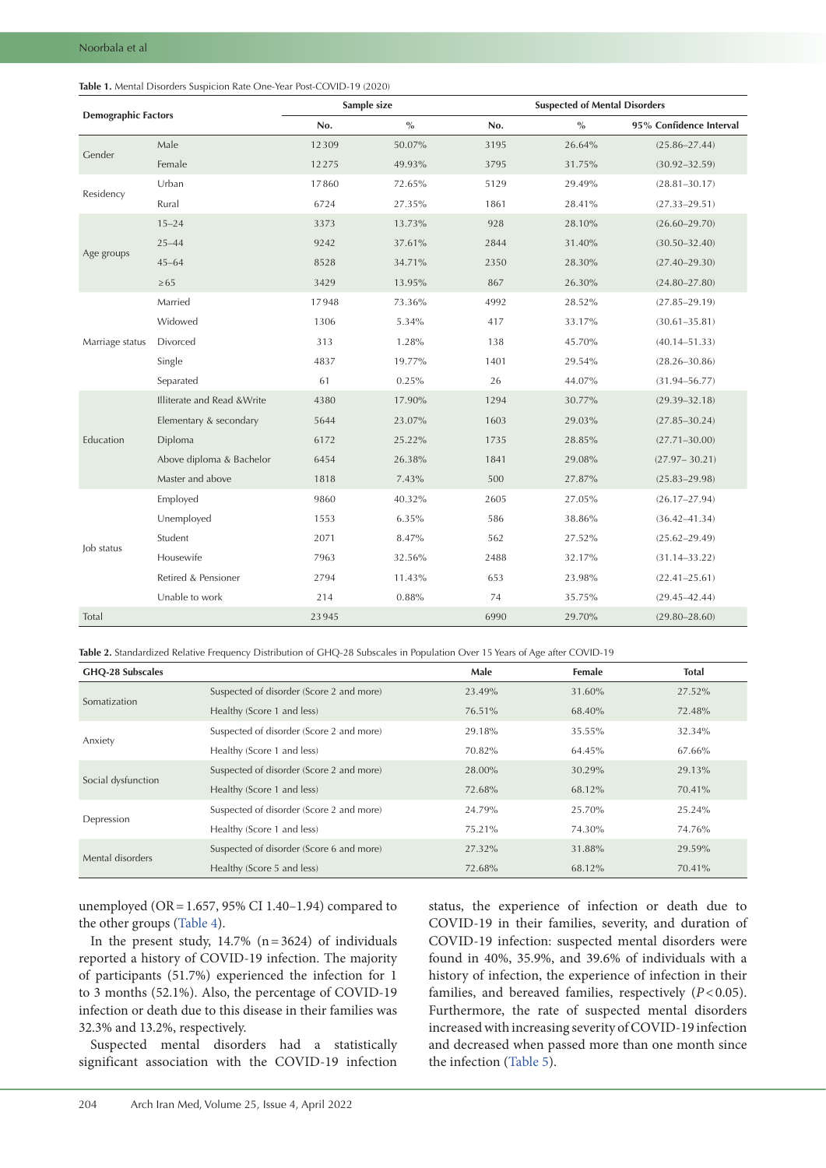<span id="page-3-0"></span>

| <b>Demographic Factors</b> |                             |       | Sample size            | <b>Suspected of Mental Disorders</b> |        |                         |  |
|----------------------------|-----------------------------|-------|------------------------|--------------------------------------|--------|-------------------------|--|
|                            |                             | No.   | $\sqrt[0]{\mathbf{0}}$ | No.                                  | $\%$   | 95% Confidence Interval |  |
| Gender                     | Male                        | 12309 | 50.07%                 | 3195                                 | 26.64% | $(25.86 - 27.44)$       |  |
|                            | Female                      | 12275 | 49.93%                 | 3795                                 | 31.75% | $(30.92 - 32.59)$       |  |
| Residency                  | Urban                       | 17860 | 72.65%                 | 5129                                 | 29.49% | $(28.81 - 30.17)$       |  |
|                            | Rural                       | 6724  | 27.35%                 | 1861                                 | 28.41% | $(27.33 - 29.51)$       |  |
| Age groups                 | $15 - 24$                   | 3373  | 13.73%                 | 928                                  | 28.10% | $(26.60 - 29.70)$       |  |
|                            | $25 - 44$                   | 9242  | 37.61%                 | 2844                                 | 31.40% | $(30.50 - 32.40)$       |  |
|                            | $45 - 64$                   | 8528  | 34.71%                 | 2350                                 | 28.30% | $(27.40 - 29.30)$       |  |
|                            | $\geq 65$                   | 3429  | 13.95%                 | 867                                  | 26.30% | $(24.80 - 27.80)$       |  |
|                            | Married                     | 17948 | 73.36%                 | 4992                                 | 28.52% | $(27.85 - 29.19)$       |  |
|                            | Widowed                     | 1306  | 5.34%                  | 417                                  | 33.17% | $(30.61 - 35.81)$       |  |
| Marriage status            | Divorced                    | 313   | 1.28%                  | 138                                  | 45.70% | $(40.14 - 51.33)$       |  |
|                            | Single                      | 4837  | 19.77%                 | 1401                                 | 29.54% | $(28.26 - 30.86)$       |  |
|                            | Separated                   | 61    | 0.25%                  | 26                                   | 44.07% | $(31.94 - 56.77)$       |  |
| Education                  | Illiterate and Read & Write | 4380  | 17.90%                 | 1294                                 | 30.77% | $(29.39 - 32.18)$       |  |
|                            | Elementary & secondary      | 5644  | 23.07%                 | 1603                                 | 29.03% | $(27.85 - 30.24)$       |  |
|                            | Diploma                     | 6172  | 25.22%                 | 1735                                 | 28.85% | $(27.71 - 30.00)$       |  |
|                            | Above diploma & Bachelor    | 6454  | 26.38%                 | 1841                                 | 29.08% | $(27.97 - 30.21)$       |  |
|                            | Master and above            | 1818  | 7.43%                  | 500                                  | 27.87% | $(25.83 - 29.98)$       |  |
|                            | Employed                    | 9860  | 40.32%                 | 2605                                 | 27.05% | $(26.17 - 27.94)$       |  |
|                            | Unemployed                  | 1553  | 6.35%                  | 586                                  | 38.86% | $(36.42 - 41.34)$       |  |
| Job status                 | Student                     | 2071  | 8.47%                  | 562                                  | 27.52% | $(25.62 - 29.49)$       |  |
|                            | Housewife                   | 7963  | 32.56%                 | 2488                                 | 32.17% | $(31.14 - 33.22)$       |  |
|                            | Retired & Pensioner         | 2794  | 11.43%                 | 653                                  | 23.98% | $(22.41 - 25.61)$       |  |
|                            | Unable to work              | 214   | 0.88%                  | 74                                   | 35.75% | $(29.45 - 42.44)$       |  |
| Total                      |                             | 23945 |                        | 6990                                 | 29.70% | $(29.80 - 28.60)$       |  |

<span id="page-3-1"></span>**Table 2.** Standardized Relative Frequency Distribution of GHQ-28 Subscales in Population Over 15 Years of Age after COVID-19

| GHQ-28 Subscales   |                                          | Male   | <b>Female</b> | <b>Total</b> |
|--------------------|------------------------------------------|--------|---------------|--------------|
| Somatization       | Suspected of disorder (Score 2 and more) | 23.49% | 31.60%        | 27.52%       |
|                    | Healthy (Score 1 and less)               | 76.51% | 68.40%        | 72.48%       |
|                    | Suspected of disorder (Score 2 and more) | 29.18% | 35.55%        | 32.34%       |
| Anxiety            | Healthy (Score 1 and less)               | 70.82% | 64.45%        | 67.66%       |
|                    | Suspected of disorder (Score 2 and more) | 28.00% | 30.29%        | 29.13%       |
| Social dysfunction | Healthy (Score 1 and less)               | 72.68% | 68.12%        | 70.41%       |
|                    | Suspected of disorder (Score 2 and more) | 24.79% | 25.70%        | 25.24%       |
| Depression         | Healthy (Score 1 and less)               | 75.21% | 74.30%        | 74.76%       |
| Mental disorders   | Suspected of disorder (Score 6 and more) | 27.32% | 31.88%        | 29.59%       |
|                    | Healthy (Score 5 and less)               | 72.68% | 68.12%        | 70.41%       |

unemployed (OR=1.657, 95% CI 1.40–1.94) compared to the other groups [\(Table](#page-4-1) 4).

In the present study,  $14.7\%$  (n=3624) of individuals reported a history of COVID-19 infection. The majority of participants (51.7%) experienced the infection for 1 to 3 months (52.1%). Also, the percentage of COVID-19 infection or death due to this disease in their families was 32.3% and 13.2%, respectively.

Suspected mental disorders had a statistically significant association with the COVID-19 infection

status, the experience of infection or death due to COVID-19 in their families, severity, and duration of COVID-19 infection: suspected mental disorders were found in 40%, 35.9%, and 39.6% of individuals with a history of infection, the experience of infection in their families, and bereaved families, respectively (*P*<0.05). Furthermore, the rate of suspected mental disorders increased with increasing severity of COVID-19 infection and decreased when passed more than one month since the infection ([Table](#page-5-0) 5).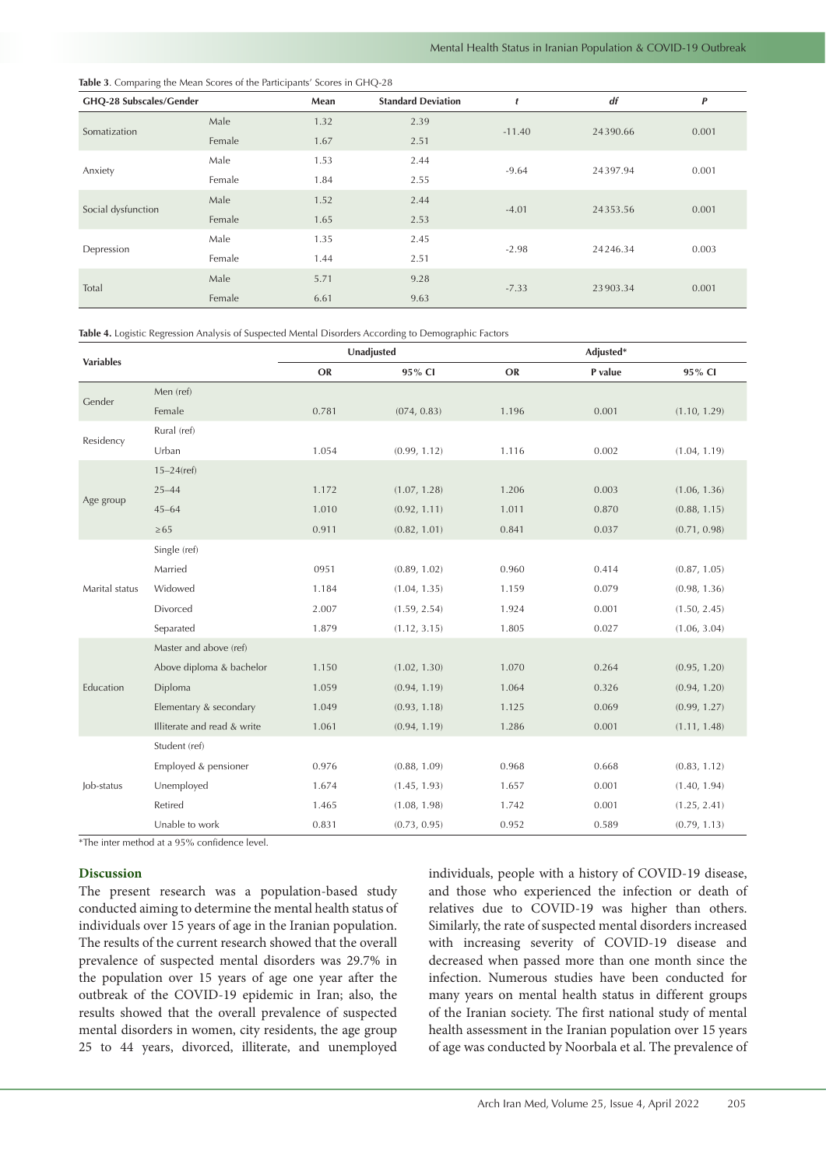# <span id="page-4-0"></span>**Table 3**. Comparing the Mean Scores of the Participants' Scores in GHQ-28

| GHQ-28 Subscales/Gender |        | Mean | <b>Standard Deviation</b> | t        | df       | P     |
|-------------------------|--------|------|---------------------------|----------|----------|-------|
| Somatization            | Male   | 1.32 | 2.39                      | $-11.40$ | 24390.66 | 0.001 |
|                         | Female | 1.67 | 2.51                      |          |          |       |
| Anxiety                 | Male   | 1.53 | 2.44                      | $-9.64$  | 24397.94 | 0.001 |
|                         | Female | 1.84 | 2.55                      |          |          |       |
| Social dysfunction      | Male   | 1.52 | 2.44                      | $-4.01$  | 24353.56 | 0.001 |
|                         | Female | 1.65 | 2.53                      |          |          |       |
| Depression              | Male   | 1.35 | 2.45                      | $-2.98$  | 24246.34 | 0.003 |
|                         | Female | 1.44 | 2.51                      |          |          |       |
| Total                   | Male   | 5.71 | 9.28                      | $-7.33$  | 23903.34 | 0.001 |
|                         | Female | 6.61 | 9.63                      |          |          |       |

<span id="page-4-1"></span>**Table 4.** Logistic Regression Analysis of Suspected Mental Disorders According to Demographic Factors

| <b>Variables</b> |                             |       | Unadjusted   |       |         |              |
|------------------|-----------------------------|-------|--------------|-------|---------|--------------|
|                  |                             | OR    | 95% CI       | OR    | P value | 95% CI       |
| Gender           | Men (ref)                   |       |              |       |         |              |
|                  | Female                      | 0.781 | (074, 0.83)  | 1.196 | 0.001   | (1.10, 1.29) |
|                  | Rural (ref)                 |       |              |       |         |              |
| Residency        | Urban                       | 1.054 | (0.99, 1.12) | 1.116 | 0.002   | (1.04, 1.19) |
|                  | $15 - 24$ (ref)             |       |              |       |         |              |
|                  | $25 - 44$                   | 1.172 | (1.07, 1.28) | 1.206 | 0.003   | (1.06, 1.36) |
| Age group        | $45 - 64$                   | 1.010 | (0.92, 1.11) | 1.011 | 0.870   | (0.88, 1.15) |
|                  | $\geq 65$                   | 0.911 | (0.82, 1.01) | 0.841 | 0.037   | (0.71, 0.98) |
|                  | Single (ref)                |       |              |       |         |              |
|                  | Married                     | 0951  | (0.89, 1.02) | 0.960 | 0.414   | (0.87, 1.05) |
| Marital status   | Widowed                     | 1.184 | (1.04, 1.35) | 1.159 | 0.079   | (0.98, 1.36) |
|                  | Divorced                    | 2.007 | (1.59, 2.54) | 1.924 | 0.001   | (1.50, 2.45) |
|                  | Separated                   | 1.879 | (1.12, 3.15) | 1.805 | 0.027   | (1.06, 3.04) |
|                  | Master and above (ref)      |       |              |       |         |              |
|                  | Above diploma & bachelor    | 1.150 | (1.02, 1.30) | 1.070 | 0.264   | (0.95, 1.20) |
| Education        | Diploma                     | 1.059 | (0.94, 1.19) | 1.064 | 0.326   | (0.94, 1.20) |
|                  | Elementary & secondary      | 1.049 | (0.93, 1.18) | 1.125 | 0.069   | (0.99, 1.27) |
|                  | Illiterate and read & write | 1.061 | (0.94, 1.19) | 1.286 | 0.001   | (1.11, 1.48) |
|                  | Student (ref)               |       |              |       |         |              |
| Job-status       | Employed & pensioner        | 0.976 | (0.88, 1.09) | 0.968 | 0.668   | (0.83, 1.12) |
|                  | Unemployed                  | 1.674 | (1.45, 1.93) | 1.657 | 0.001   | (1.40, 1.94) |
|                  | Retired                     | 1.465 | (1.08, 1.98) | 1.742 | 0.001   | (1.25, 2.41) |
|                  | Unable to work              | 0.831 | (0.73, 0.95) | 0.952 | 0.589   | (0.79, 1.13) |

\*The inter method at a 95% confidence level.

# **Discussion**

The present research was a population-based study conducted aiming to determine the mental health status of individuals over 15 years of age in the Iranian population. The results of the current research showed that the overall prevalence of suspected mental disorders was 29.7% in the population over 15 years of age one year after the outbreak of the COVID-19 epidemic in Iran; also, the results showed that the overall prevalence of suspected mental disorders in women, city residents, the age group 25 to 44 years, divorced, illiterate, and unemployed

individuals, people with a history of COVID-19 disease, and those who experienced the infection or death of relatives due to COVID-19 was higher than others. Similarly, the rate of suspected mental disorders increased with increasing severity of COVID-19 disease and decreased when passed more than one month since the infection. Numerous studies have been conducted for many years on mental health status in different groups of the Iranian society. The first national study of mental health assessment in the Iranian population over 15 years of age was conducted by Noorbala et al. The prevalence of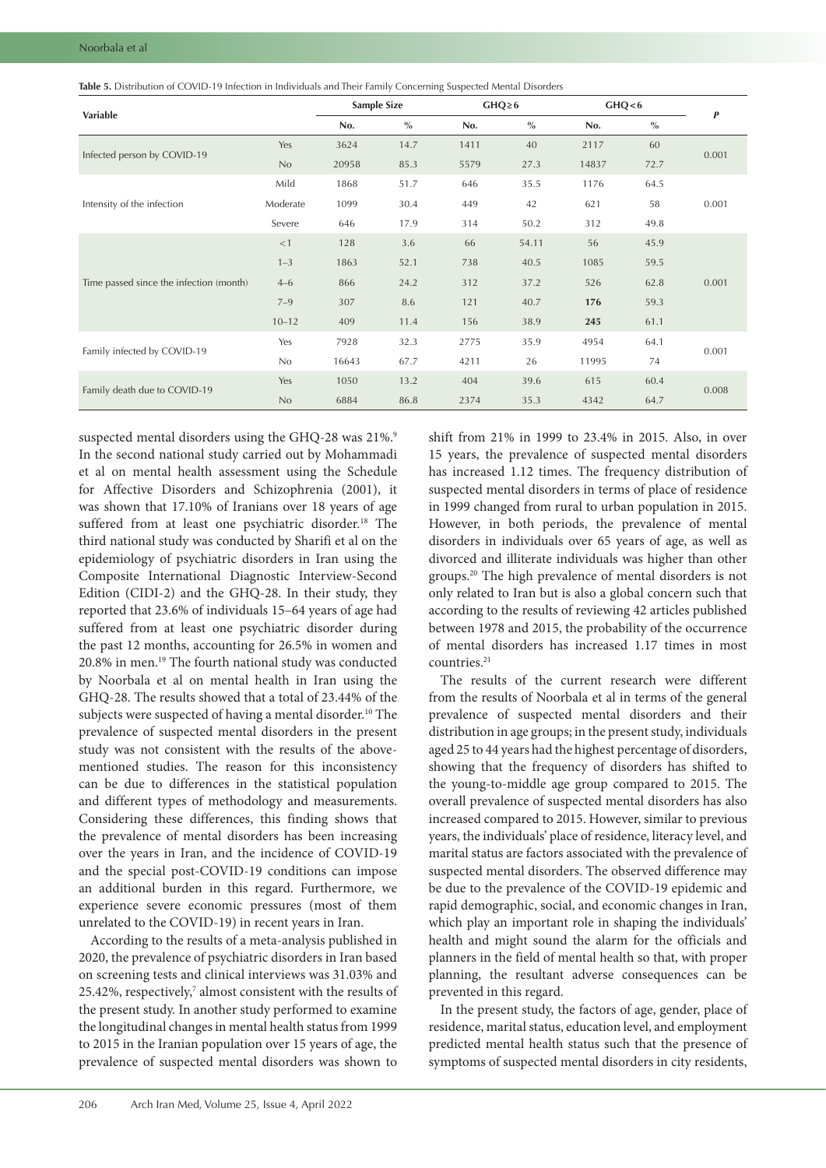<span id="page-5-0"></span>

| Variable                                |           | <b>Sample Size</b> |               | $GHQ \geq 6$ |               | GHQ < 6 |      | P     |
|-----------------------------------------|-----------|--------------------|---------------|--------------|---------------|---------|------|-------|
|                                         |           | No.                | $\frac{0}{0}$ | No.          | $\frac{0}{0}$ | No.     | $\%$ |       |
|                                         | Yes       | 3624               | 14.7          | 1411         | 40            | 2117    | 60   | 0.001 |
| Infected person by COVID-19             | No        | 20958              | 85.3          | 5579         | 27.3          | 14837   | 72.7 |       |
|                                         | Mild      | 1868               | 51.7          | 646          | 35.5          | 1176    | 64.5 |       |
| Intensity of the infection              | Moderate  | 1099               | 30.4          | 449          | 42            | 621     | 58   | 0.001 |
|                                         | Severe    | 646                | 17.9          | 314          | 50.2          | 312     | 49.8 |       |
|                                         | <1        | 128                | 3.6           | 66           | 54.11         | 56      | 45.9 |       |
|                                         | $1 - 3$   | 1863               | 52.1          | 738          | 40.5          | 1085    | 59.5 | 0.001 |
| Time passed since the infection (month) | $4 - 6$   | 866                | 24.2          | 312          | 37.2          | 526     | 62.8 |       |
|                                         | $7 - 9$   | 307                | 8.6           | 121          | 40.7          | 176     | 59.3 |       |
|                                         | $10 - 12$ | 409                | 11.4          | 156          | 38.9          | 245     | 61.1 |       |
|                                         | Yes       | 7928               | 32.3          | 2775         | 35.9          | 4954    | 64.1 | 0.001 |
| Family infected by COVID-19             | No        | 16643              | 67.7          | 4211         | 26            | 11995   | 74   |       |
|                                         | Yes       | 1050               | 13.2          | 404          | 39.6          | 615     | 60.4 |       |
| Family death due to COVID-19            | No        | 6884               | 86.8          | 2374         | 35.3          | 4342    | 64.7 | 0.008 |

suspected mental disorders using the GHQ-28 was 21%.9 In the second national study carried out by Mohammadi et al on mental health assessment using the Schedule for Affective Disorders and Schizophrenia (2001), it was shown that 17.10% of Iranians over 18 years of age suffered from at least one psychiatric disorder.<sup>18</sup> The third national study was conducted by Sharifi et al on the epidemiology of psychiatric disorders in Iran using the Composite International Diagnostic Interview-Second Edition (CIDI-2) and the GHQ-28. In their study, they reported that 23.6% of individuals 15–64 years of age had suffered from at least one psychiatric disorder during the past 12 months, accounting for 26.5% in women and 20.8% in men.19 The fourth national study was conducted by Noorbala et al on mental health in Iran using the GHQ-28. The results showed that a total of 23.44% of the subjects were suspected of having a mental disorder.<sup>10</sup> The prevalence of suspected mental disorders in the present study was not consistent with the results of the abovementioned studies. The reason for this inconsistency can be due to differences in the statistical population and different types of methodology and measurements. Considering these differences, this finding shows that the prevalence of mental disorders has been increasing over the years in Iran, and the incidence of COVID-19 and the special post-COVID-19 conditions can impose an additional burden in this regard. Furthermore, we experience severe economic pressures (most of them unrelated to the COVID-19) in recent years in Iran.

According to the results of a meta-analysis published in 2020, the prevalence of psychiatric disorders in Iran based on screening tests and clinical interviews was 31.03% and 25.42%, respectively, $7$  almost consistent with the results of the present study. In another study performed to examine the longitudinal changes in mental health status from 1999 to 2015 in the Iranian population over 15 years of age, the prevalence of suspected mental disorders was shown to

shift from 21% in 1999 to 23.4% in 2015. Also, in over 15 years, the prevalence of suspected mental disorders has increased 1.12 times. The frequency distribution of suspected mental disorders in terms of place of residence in 1999 changed from rural to urban population in 2015. However, in both periods, the prevalence of mental disorders in individuals over 65 years of age, as well as divorced and illiterate individuals was higher than other groups.20 The high prevalence of mental disorders is not only related to Iran but is also a global concern such that according to the results of reviewing 42 articles published between 1978 and 2015, the probability of the occurrence of mental disorders has increased 1.17 times in most countries.21

The results of the current research were different from the results of Noorbala et al in terms of the general prevalence of suspected mental disorders and their distribution in age groups; in the present study, individuals aged 25 to 44 years had the highest percentage of disorders, showing that the frequency of disorders has shifted to the young-to-middle age group compared to 2015. The overall prevalence of suspected mental disorders has also increased compared to 2015. However, similar to previous years, the individuals' place of residence, literacy level, and marital status are factors associated with the prevalence of suspected mental disorders. The observed difference may be due to the prevalence of the COVID-19 epidemic and rapid demographic, social, and economic changes in Iran, which play an important role in shaping the individuals' health and might sound the alarm for the officials and planners in the field of mental health so that, with proper planning, the resultant adverse consequences can be prevented in this regard.

In the present study, the factors of age, gender, place of residence, marital status, education level, and employment predicted mental health status such that the presence of symptoms of suspected mental disorders in city residents,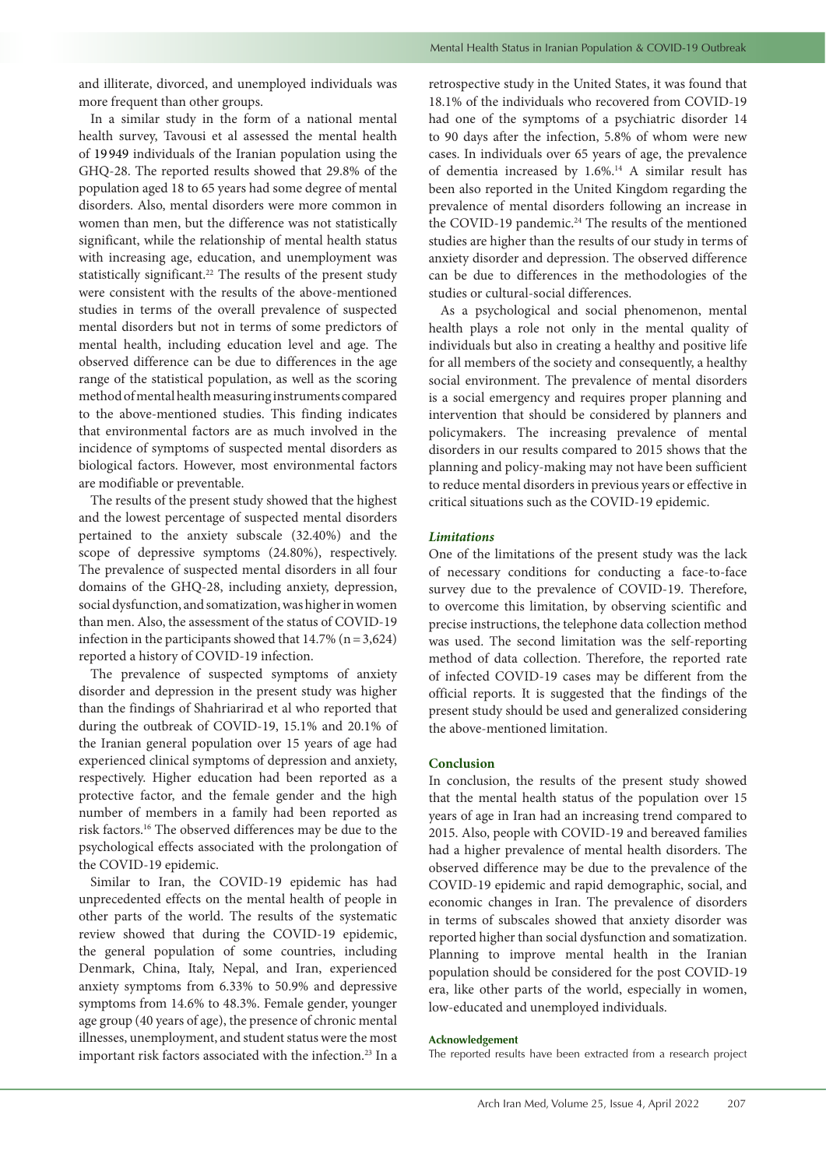and illiterate, divorced, and unemployed individuals was more frequent than other groups.

In a similar study in the form of a national mental health survey, Tavousi et al assessed the mental health of 19 949 individuals of the Iranian population using the GHQ-28. The reported results showed that 29.8% of the population aged 18 to 65 years had some degree of mental disorders. Also, mental disorders were more common in women than men, but the difference was not statistically significant, while the relationship of mental health status with increasing age, education, and unemployment was statistically significant.<sup>22</sup> The results of the present study were consistent with the results of the above-mentioned studies in terms of the overall prevalence of suspected mental disorders but not in terms of some predictors of mental health, including education level and age. The observed difference can be due to differences in the age range of the statistical population, as well as the scoring method of mental health measuring instruments compared to the above-mentioned studies. This finding indicates that environmental factors are as much involved in the incidence of symptoms of suspected mental disorders as biological factors. However, most environmental factors are modifiable or preventable.

The results of the present study showed that the highest and the lowest percentage of suspected mental disorders pertained to the anxiety subscale (32.40%) and the scope of depressive symptoms (24.80%), respectively. The prevalence of suspected mental disorders in all four domains of the GHQ-28, including anxiety, depression, social dysfunction, and somatization, was higher in women than men. Also, the assessment of the status of COVID-19 infection in the participants showed that  $14.7\%$  (n = 3,624) reported a history of COVID-19 infection.

The prevalence of suspected symptoms of anxiety disorder and depression in the present study was higher than the findings of Shahriarirad et al who reported that during the outbreak of COVID-19, 15.1% and 20.1% of the Iranian general population over 15 years of age had experienced clinical symptoms of depression and anxiety, respectively. Higher education had been reported as a protective factor, and the female gender and the high number of members in a family had been reported as risk factors.16 The observed differences may be due to the psychological effects associated with the prolongation of the COVID-19 epidemic.

Similar to Iran, the COVID-19 epidemic has had unprecedented effects on the mental health of people in other parts of the world. The results of the systematic review showed that during the COVID-19 epidemic, the general population of some countries, including Denmark, China, Italy, Nepal, and Iran, experienced anxiety symptoms from 6.33% to 50.9% and depressive symptoms from 14.6% to 48.3%. Female gender, younger age group (40 years of age), the presence of chronic mental illnesses, unemployment, and student status were the most important risk factors associated with the infection.23 In a

retrospective study in the United States, it was found that 18.1% of the individuals who recovered from COVID-19 had one of the symptoms of a psychiatric disorder 14 to 90 days after the infection, 5.8% of whom were new cases. In individuals over 65 years of age, the prevalence of dementia increased by 1.6%.<sup>14</sup> A similar result has been also reported in the United Kingdom regarding the prevalence of mental disorders following an increase in the COVID-19 pandemic.<sup>24</sup> The results of the mentioned studies are higher than the results of our study in terms of anxiety disorder and depression. The observed difference can be due to differences in the methodologies of the studies or cultural-social differences.

As a psychological and social phenomenon, mental health plays a role not only in the mental quality of individuals but also in creating a healthy and positive life for all members of the society and consequently, a healthy social environment. The prevalence of mental disorders is a social emergency and requires proper planning and intervention that should be considered by planners and policymakers. The increasing prevalence of mental disorders in our results compared to 2015 shows that the planning and policy-making may not have been sufficient to reduce mental disorders in previous years or effective in critical situations such as the COVID-19 epidemic.

# *Limitations*

One of the limitations of the present study was the lack of necessary conditions for conducting a face-to-face survey due to the prevalence of COVID-19. Therefore, to overcome this limitation, by observing scientific and precise instructions, the telephone data collection method was used. The second limitation was the self-reporting method of data collection. Therefore, the reported rate of infected COVID-19 cases may be different from the official reports. It is suggested that the findings of the present study should be used and generalized considering the above-mentioned limitation.

# **Conclusion**

In conclusion, the results of the present study showed that the mental health status of the population over 15 years of age in Iran had an increasing trend compared to 2015. Also, people with COVID-19 and bereaved families had a higher prevalence of mental health disorders. The observed difference may be due to the prevalence of the COVID-19 epidemic and rapid demographic, social, and economic changes in Iran. The prevalence of disorders in terms of subscales showed that anxiety disorder was reported higher than social dysfunction and somatization. Planning to improve mental health in the Iranian population should be considered for the post COVID-19 era, like other parts of the world, especially in women, low-educated and unemployed individuals.

# **Acknowledgement**

The reported results have been extracted from a research project